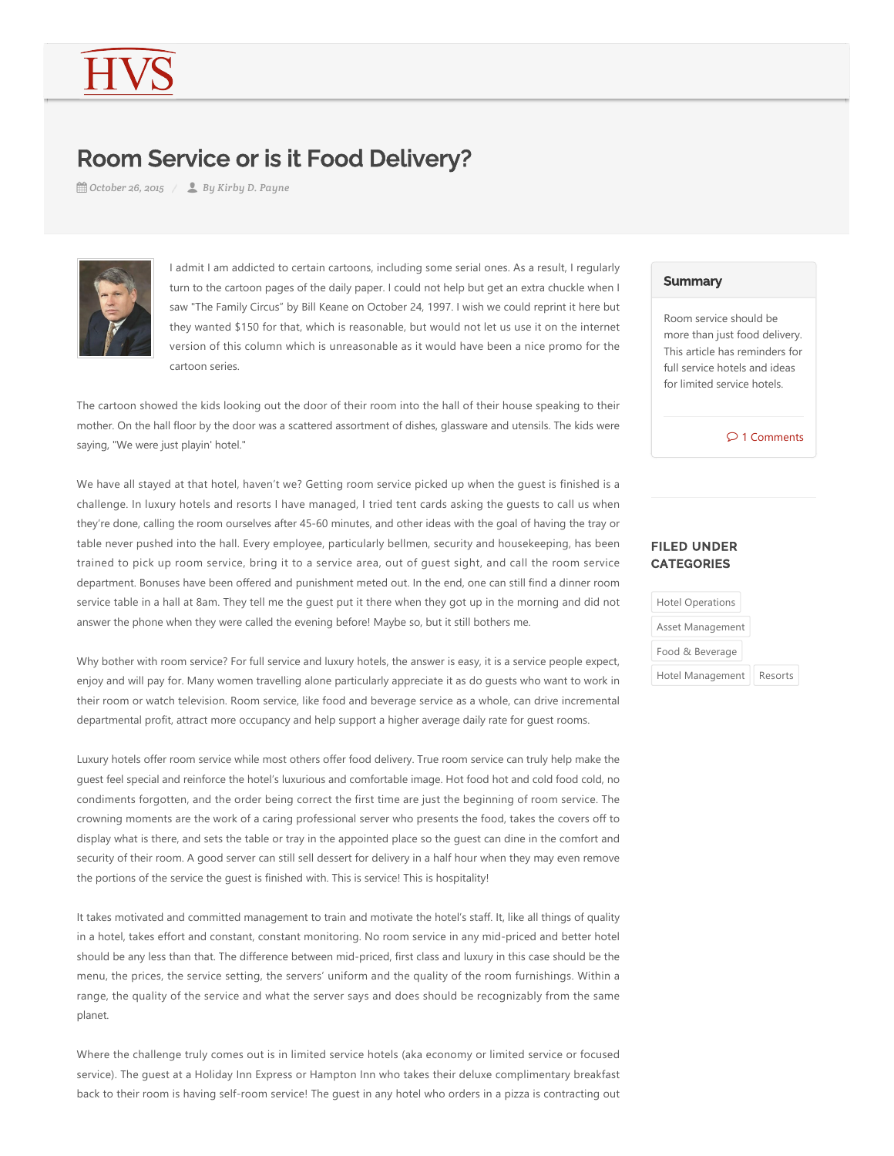# Room Service or is it Food Delivery?

*October 26, 2015 By Kirby D. Payne*



I admit I am addicted to certain cartoons, including some serial ones. As a result, I regularly turn to the cartoon pages of the daily paper. I could not help but get an extra chuckle when I saw "The Family Circus" by Bill Keane on October 24, 1997. I wish we could reprint it here but they wanted \$150 for that, which is reasonable, but would not let us use it on the internet version of this column which is unreasonable as it would have been a nice promo for the cartoon series.

The cartoon showed the kids looking out the door of their room into the hall of their house speaking to their mother. On the hall floor by the door was a scattered assortment of dishes, glassware and utensils. The kids were saying, "We were just playin' hotel."

We have all stayed at that hotel, haven't we? Getting room service picked up when the guest is finished is a challenge. In luxury hotels and resorts I have managed, I tried tent cards asking the guests to call us when they're done, calling the room ourselves after 45‐60 minutes, and other ideas with the goal of having the tray or table never pushed into the hall. Every employee, particularly bellmen, security and housekeeping, has been trained to pick up room service, bring it to a service area, out of guest sight, and call the room service department. Bonuses have been offered and punishment meted out. In the end, one can still find a dinner room service table in a hall at 8am. They tell me the guest put it there when they got up in the morning and did not answer the phone when they were called the evening before! Maybe so, but it still bothers me.

Why bother with room service? For full service and luxury hotels, the answer is easy, it is a service people expect, enjoy and will pay for. Many women travelling alone particularly appreciate it as do guests who want to work in their room or watch television. Room service, like food and beverage service as a whole, can drive incremental departmental profit, attract more occupancy and help support a higher average daily rate for guest rooms.

Luxury hotels offer room service while most others offer food delivery. True room service can truly help make the guest feel special and reinforce the hotel's luxurious and comfortable image. Hot food hot and cold food cold, no condiments forgotten, and the order being correct the first time are just the beginning of room service. The crowning moments are the work of a caring professional server who presents the food, takes the covers off to display what is there, and sets the table or tray in the appointed place so the guest can dine in the comfort and security of their room. A good server can still sell dessert for delivery in a half hour when they may even remove the portions of the service the guest is finished with. This is service! This is hospitality!

It takes motivated and committed management to train and motivate the hotel's staff. It, like all things of quality in a hotel, takes effort and constant, constant monitoring. No room service in any mid-priced and better hotel should be any less than that. The difference between mid‐priced, first class and luxury in this case should be the menu, the prices, the service setting, the servers' uniform and the quality of the room furnishings. Within a range, the quality of the service and what the server says and does should be recognizably from the same planet.

Where the challenge truly comes out is in limited service hotels (aka economy or limited service or focused service). The guest at a Holiday Inn Express or Hampton Inn who takes their deluxe complimentary breakfast back to their room is having self‐room service! The guest in any hotel who orders in a pizza is contracting out

#### **Summary**

Room service should be more than just food delivery. This article has reminders for full service hotels and ideas for limited service hotels.

 $\circ$  1 Comments

## FILED UNDER **CATEGORIES**

| <b>Hotel Operations</b> |         |
|-------------------------|---------|
| Asset Management        |         |
| Food & Beverage         |         |
| Hotel Management        | Resorts |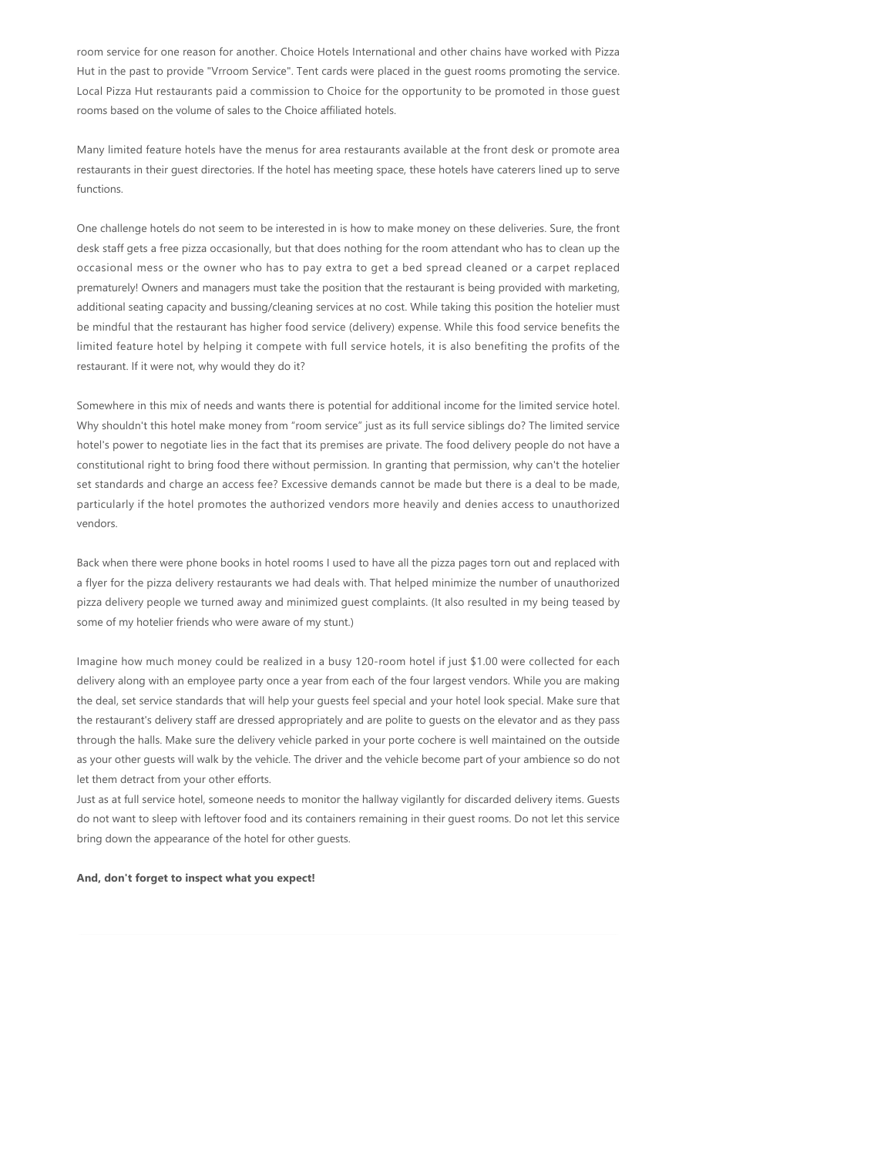room service for one reason for another. Choice Hotels International and other chains have worked with Pizza Hut in the past to provide "Vrroom Service". Tent cards were placed in the guest rooms promoting the service. Local Pizza Hut restaurants paid a commission to Choice for the opportunity to be promoted in those guest rooms based on the volume of sales to the Choice affiliated hotels.

Many limited feature hotels have the menus for area restaurants available at the front desk or promote area restaurants in their guest directories. If the hotel has meeting space, these hotels have caterers lined up to serve functions.

One challenge hotels do not seem to be interested in is how to make money on these deliveries. Sure, the front desk staff gets a free pizza occasionally, but that does nothing for the room attendant who has to clean up the occasional mess or the owner who has to pay extra to get a bed spread cleaned or a carpet replaced prematurely! Owners and managers must take the position that the restaurant is being provided with marketing, additional seating capacity and bussing/cleaning services at no cost. While taking this position the hotelier must be mindful that the restaurant has higher food service (delivery) expense. While this food service benefits the limited feature hotel by helping it compete with full service hotels, it is also benefiting the profits of the restaurant. If it were not, why would they do it?

Somewhere in this mix of needs and wants there is potential for additional income for the limited service hotel. Why shouldn't this hotel make money from "room service" just as its full service siblings do? The limited service hotel's power to negotiate lies in the fact that its premises are private. The food delivery people do not have a constitutional right to bring food there without permission. In granting that permission, why can't the hotelier set standards and charge an access fee? Excessive demands cannot be made but there is a deal to be made, particularly if the hotel promotes the authorized vendors more heavily and denies access to unauthorized vendors.

Back when there were phone books in hotel rooms I used to have all the pizza pages torn out and replaced with a flyer for the pizza delivery restaurants we had deals with. That helped minimize the number of unauthorized pizza delivery people we turned away and minimized guest complaints. (It also resulted in my being teased by some of my hotelier friends who were aware of my stunt.)

Imagine how much money could be realized in a busy 120-room hotel if just \$1.00 were collected for each delivery along with an employee party once a year from each of the four largest vendors. While you are making the deal, set service standards that will help your guests feel special and your hotel look special. Make sure that the restaurant's delivery staff are dressed appropriately and are polite to guests on the elevator and as they pass through the halls. Make sure the delivery vehicle parked in your porte cochere is well maintained on the outside as your other guests will walk by the vehicle. The driver and the vehicle become part of your ambience so do not let them detract from your other efforts.

Just as at full service hotel, someone needs to monitor the hallway vigilantly for discarded delivery items. Guests do not want to sleep with leftover food and its containers remaining in their guest rooms. Do not let this service bring down the appearance of the hotel for other guests.

### **And, don't forget to inspect what you expect!**